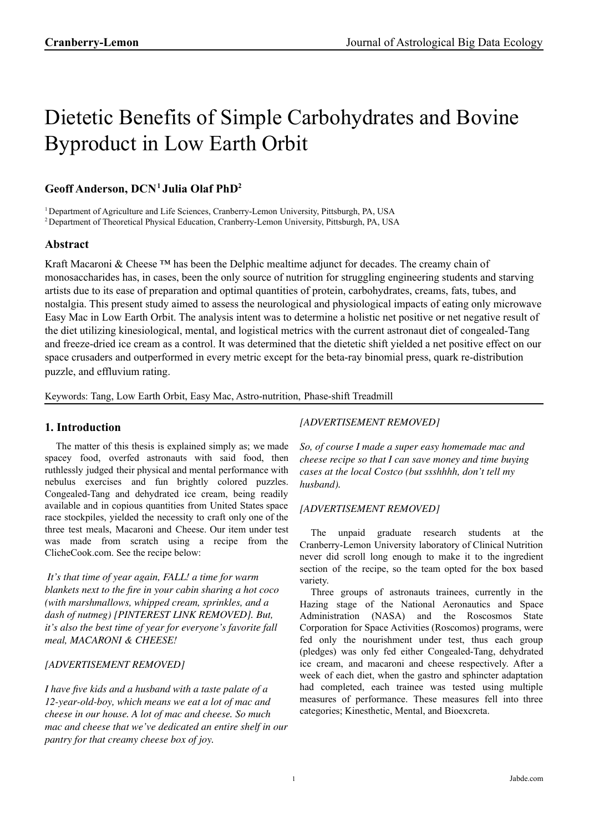# Dietetic Benefits of Simple Carbohydrates and Bovine Byproduct in Low Earth Orbit

# **Geoff Anderson, DCN<sup>1</sup> Julia Olaf PhD<sup>2</sup>**

<sup>1</sup> Department of Agriculture and Life Sciences, Cranberry-Lemon University, Pittsburgh, PA, USA

<sup>2</sup> Department of Theoretical Physical Education, Cranberry-Lemon University, Pittsburgh, PA, USA

## **Abstract**

Kraft Macaroni & Cheese ™ has been the Delphic mealtime adjunct for decades. The creamy chain of monosaccharides has, in cases, been the only source of nutrition for struggling engineering students and starving artists due to its ease of preparation and optimal quantities of protein, carbohydrates, creams, fats, tubes, and nostalgia. This present study aimed to assess the neurological and physiological impacts of eating only microwave Easy Mac in Low Earth Orbit. The analysis intent was to determine a holistic net positive or net negative result of the diet utilizing kinesiological, mental, and logistical metrics with the current astronaut diet of congealed-Tang and freeze-dried ice cream as a control. It was determined that the dietetic shift yielded a net positive effect on our space crusaders and outperformed in every metric except for the beta-ray binomial press, quark re-distribution puzzle, and effluvium rating.

Keywords: Tang, Low Earth Orbit, Easy Mac, Astro-nutrition, Phase-shift Treadmill

## **1. Introduction**

The matter of this thesis is explained simply as; we made spacey food, overfed astronauts with said food, then ruthlessly judged their physical and mental performance with nebulus exercises and fun brightly colored puzzles. Congealed-Tang and dehydrated ice cream, being readily available and in copious quantities from United States space race stockpiles, yielded the necessity to craft only one of the three test meals, Macaroni and Cheese. Our item under test was made from scratch using a recipe from the ClicheCook.com. See the recipe below:

*It's that time of year again, FALL! a time for warm blankets next to the fire in your cabin sharing a hot coco (with marshmallows, whipped cream, sprinkles, and a dash of nutmeg) [PINTEREST LINK REMOVED]. But, it's also the best time of year for everyone's favorite fall meal, MACARONI & CHEESE!*

## *[ADVERTISEMENT REMOVED]*

*I have five kids and a husband with a taste palate of a 12-year-old-boy, which means we eat a lot of mac and cheese in our house. A lot of mac and cheese. So much mac and cheese that we've dedicated an entire shelf in our pantry for that creamy cheese box of joy.*

## *[ADVERTISEMENT REMOVED]*

*So, of course I made a super easy homemade mac and cheese recipe so that I can save money and time buying cases at the local Costco (but ssshhhh, don't tell my husband).*

## *[ADVERTISEMENT REMOVED]*

The unpaid graduate research students at the Cranberry-Lemon University laboratory of Clinical Nutrition never did scroll long enough to make it to the ingredient section of the recipe, so the team opted for the box based variety.

Three groups of astronauts trainees, currently in the Hazing stage of the National Aeronautics and Space Administration (NASA) and the Roscosmos State Corporation for Space Activities (Roscomos) programs, were fed only the nourishment under test, thus each group (pledges) was only fed either Congealed-Tang, dehydrated ice cream, and macaroni and cheese respectively. After a week of each diet, when the gastro and sphincter adaptation had completed, each trainee was tested using multiple measures of performance. These measures fell into three categories; Kinesthetic, Mental, and Bioexcreta.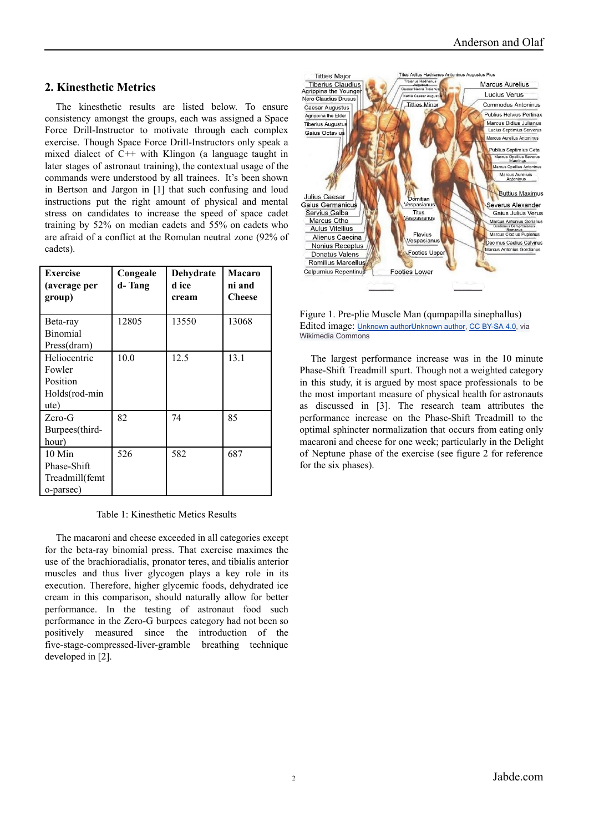## **2. Kinesthetic Metrics**

The kinesthetic results are listed below. To ensure consistency amongst the groups, each was assigned a Space Force Drill-Instructor to motivate through each complex exercise. Though Space Force Drill-Instructors only speak a mixed dialect of C++ with Klingon (a language taught in later stages of astronaut training), the contextual usage of the commands were understood by all trainees. It's been shown in Bertson and Jargon in [1] that such confusing and loud instructions put the right amount of physical and mental stress on candidates to increase the speed of space cadet training by 52% on median cadets and 55% on cadets who are afraid of a conflict at the Romulan neutral zone (92% of cadets).

| <b>Exercise</b><br>(average per<br>group)                   | Congeale<br>d- Tang | Dehydrate<br>d ice<br>cream | <b>Macaro</b><br>ni and<br><b>Cheese</b> |
|-------------------------------------------------------------|---------------------|-----------------------------|------------------------------------------|
| Beta-ray<br><b>Binomial</b><br>Press(dram)                  | 12805               | 13550                       | 13068                                    |
| Heliocentric<br>Fowler<br>Position<br>Holds(rod-min<br>ute) | 10.0                | 12.5                        | 13.1                                     |
| $Zero-G$<br>Burpees(third-<br>hour)                         | 82                  | 74                          | 85                                       |
| $10$ Min<br>Phase-Shift<br>Treadmill(femt<br>o-parsec)      | 526                 | 582                         | 687                                      |

Table 1: Kinesthetic Metics Results

The macaroni and cheese exceeded in all categories except for the beta-ray binomial press. That exercise maximes the use of the brachioradialis, pronator teres, and tibialis anterior muscles and thus liver glycogen plays a key role in its execution. Therefore, higher glycemic foods, dehydrated ice cream in this comparison, should naturally allow for better performance. In the testing of astronaut food such performance in the Zero-G burpees category had not been so positively measured since the introduction of the five-stage-compressed-liver-gramble breathing technique developed in [2].





The largest performance increase was in the 10 minute Phase-Shift Treadmill spurt. Though not a weighted category in this study, it is argued by most space professionals to be the most important measure of physical health for astronauts as discussed in [3]. The research team attributes the performance increase on the Phase-Shift Treadmill to the optimal sphincter normalization that occurs from eating only macaroni and cheese for one week; particularly in the Delight of Neptune phase of the exercise (see figure 2 for reference for the six phases).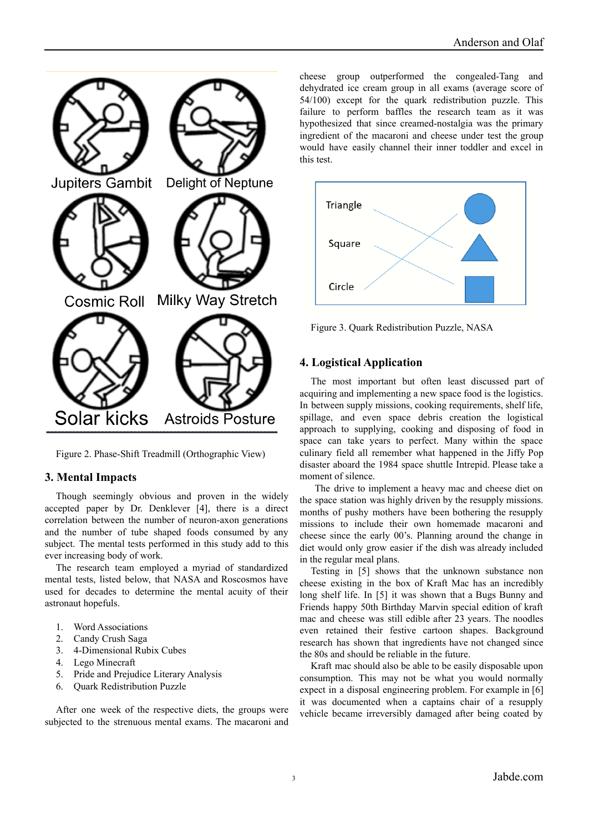

Figure 2. Phase-Shift Treadmill (Orthographic View)

#### **3. Mental Impacts**

Though seemingly obvious and proven in the widely accepted paper by Dr. Denklever [4], there is a direct correlation between the number of neuron-axon generations and the number of tube shaped foods consumed by any subject. The mental tests performed in this study add to this ever increasing body of work.

The research team employed a myriad of standardized mental tests, listed below, that NASA and Roscosmos have used for decades to determine the mental acuity of their astronaut hopefuls.

- 1. Word Associations
- 2. Candy Crush Saga
- 3. 4-Dimensional Rubix Cubes
- 4. Lego Minecraft
- 5. Pride and Prejudice Literary Analysis
- 6. Quark Redistribution Puzzle

After one week of the respective diets, the groups were subjected to the strenuous mental exams. The macaroni and cheese group outperformed the congealed-Tang and dehydrated ice cream group in all exams (average score of 54/100) except for the quark redistribution puzzle. This failure to perform baffles the research team as it was hypothesized that since creamed-nostalgia was the primary ingredient of the macaroni and cheese under test the group would have easily channel their inner toddler and excel in this test.



Figure 3. Quark Redistribution Puzzle, NASA

#### **4. Logistical Application**

The most important but often least discussed part of acquiring and implementing a new space food is the logistics. In between supply missions, cooking requirements, shelf life, spillage, and even space debris creation the logistical approach to supplying, cooking and disposing of food in space can take years to perfect. Many within the space culinary field all remember what happened in the Jiffy Pop disaster aboard the 1984 space shuttle Intrepid. Please take a moment of silence.

The drive to implement a heavy mac and cheese diet on the space station was highly driven by the resupply missions. months of pushy mothers have been bothering the resupply missions to include their own homemade macaroni and cheese since the early 00's. Planning around the change in diet would only grow easier if the dish was already included in the regular meal plans.

Testing in [5] shows that the unknown substance non cheese existing in the box of Kraft Mac has an incredibly long shelf life. In [5] it was shown that a Bugs Bunny and Friends happy 50th Birthday Marvin special edition of kraft mac and cheese was still edible after 23 years. The noodles even retained their festive cartoon shapes. Background research has shown that ingredients have not changed since the 80s and should be reliable in the future.

Kraft mac should also be able to be easily disposable upon consumption. This may not be what you would normally expect in a disposal engineering problem. For example in [6] it was documented when a captains chair of a resupply vehicle became irreversibly damaged after being coated by